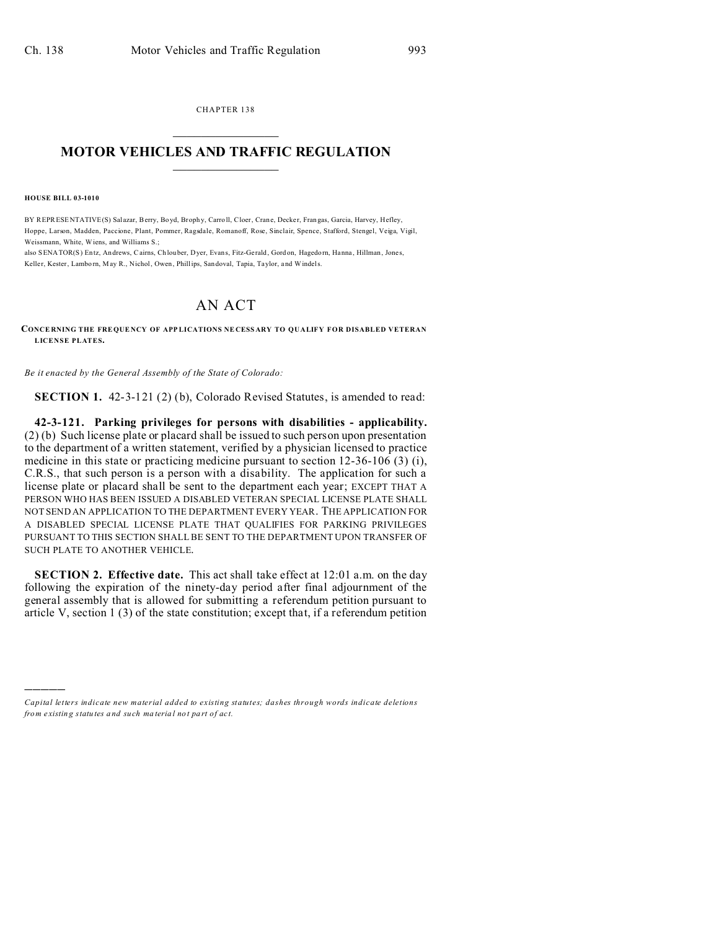CHAPTER 138  $\overline{\phantom{a}}$  , where  $\overline{\phantom{a}}$ 

## **MOTOR VEHICLES AND TRAFFIC REGULATION**  $\frac{1}{2}$  ,  $\frac{1}{2}$  ,  $\frac{1}{2}$  ,  $\frac{1}{2}$  ,  $\frac{1}{2}$  ,  $\frac{1}{2}$  ,  $\frac{1}{2}$

**HOUSE BILL 03-1010**

)))))

BY REPRESENTATIVE(S) Salazar, Berry, Boyd, Brophy, Carroll, Cloer, Crane, Decker, Frangas, Garcia, Harvey, Hefley, Hoppe, Larson, Madden, Paccione, Plant, Pommer, Ragsdale, Romanoff, Rose, Sinclair, Spence, Stafford, Stengel, Veiga, Vigil, Weissmann, White, Wiens, and Williams S.;

also SENATOR(S) Entz, Andrews, Cairns, Ch louber, Dyer, Evans, Fitz-Gerald, Gordon, Hagedorn, Hanna, Hillman, Jones, Keller, Kester, Lamborn, May R., Nichol, Owen, Phillips, Sandoval, Tapia, Taylor, and Windels.

## AN ACT

**CONCE RNING THE FRE QUE NCY OF APP LICATIONS NE CESS ARY TO QUALIFY FOR DISABLED VETERAN LICENSE PLATES.**

*Be it enacted by the General Assembly of the State of Colorado:*

**SECTION 1.** 42-3-121 (2) (b), Colorado Revised Statutes, is amended to read:

**42-3-121. Parking privileges for persons with disabilities - applicability.** (2) (b) Such license plate or placard shall be issued to such person upon presentation to the department of a written statement, verified by a physician licensed to practice medicine in this state or practicing medicine pursuant to section 12-36-106 (3) (i), C.R.S., that such person is a person with a disability. The application for such a license plate or placard shall be sent to the department each year; EXCEPT THAT A PERSON WHO HAS BEEN ISSUED A DISABLED VETERAN SPECIAL LICENSE PLATE SHALL NOT SEND AN APPLICATION TO THE DEPARTMENT EVERY YEAR. THE APPLICATION FOR A DISABLED SPECIAL LICENSE PLATE THAT QUALIFIES FOR PARKING PRIVILEGES PURSUANT TO THIS SECTION SHALL BE SENT TO THE DEPARTMENT UPON TRANSFER OF SUCH PLATE TO ANOTHER VEHICLE.

**SECTION 2. Effective date.** This act shall take effect at 12:01 a.m. on the day following the expiration of the ninety-day period after final adjournment of the general assembly that is allowed for submitting a referendum petition pursuant to article V, section 1 (3) of the state constitution; except that, if a referendum petition

*Capital letters indicate new material added to existing statutes; dashes through words indicate deletions from e xistin g statu tes a nd such ma teria l no t pa rt of ac t.*